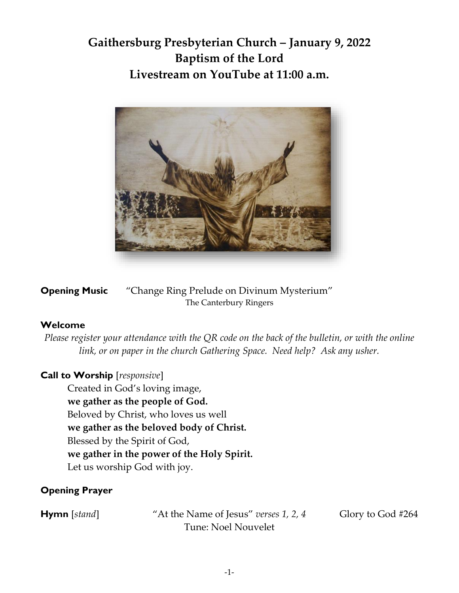# **Gaithersburg Presbyterian Church – January 9, 2022 Baptism of the Lord Livestream on YouTube at 11:00 a.m.**



**Opening Music** "Change Ring Prelude on Divinum Mysterium" The Canterbury Ringers

## **Welcome**

*Please register your attendance with the QR code on the back of the bulletin, or with the online link, or on paper in the church Gathering Space. Need help? Ask any usher.*

## **Call to Worship** [*responsive*]

Created in God's loving image, **we gather as the people of God.** Beloved by Christ, who loves us well **we gather as the beloved body of Christ.** Blessed by the Spirit of God, **we gather in the power of the Holy Spirit.** Let us worship God with joy.

## **Opening Prayer**

**Hymn** [*stand*] "At the Name of Jesus" *verses* 1, 2, 4 Glory to God #264 Tune: Noel Nouvelet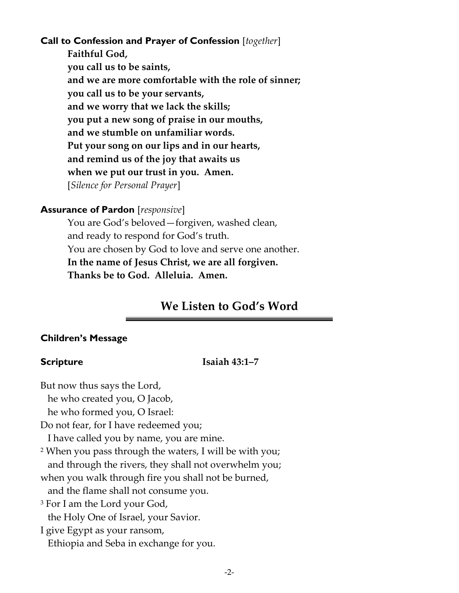### **Call to Confession and Prayer of Confession** [*together*]

**Faithful God, you call us to be saints, and we are more comfortable with the role of sinner; you call us to be your servants, and we worry that we lack the skills; you put a new song of praise in our mouths, and we stumble on unfamiliar words. Put your song on our lips and in our hearts, and remind us of the joy that awaits us when we put our trust in you. Amen.**  [*Silence for Personal Prayer*]

#### **Assurance of Pardon** [*responsive*]

You are God's beloved—forgiven, washed clean, and ready to respond for God's truth. You are chosen by God to love and serve one another. **In the name of Jesus Christ, we are all forgiven. Thanks be to God. Alleluia. Amen.** 

## **We Listen to God's Word**

#### **Children's Message**

#### **Scripture Isaiah 43:1–7**

But now thus says the Lord,

he who created you, O Jacob,

he who formed you, O Israel:

Do not fear, for I have redeemed you;

I have called you by name, you are mine.

<sup>2</sup> When you pass through the waters, I will be with you; and through the rivers, they shall not overwhelm you;

when you walk through fire you shall not be burned,

and the flame shall not consume you.

<sup>3</sup> For I am the Lord your God,

the Holy One of Israel, your Savior.

I give Egypt as your ransom, Ethiopia and Seba in exchange for you.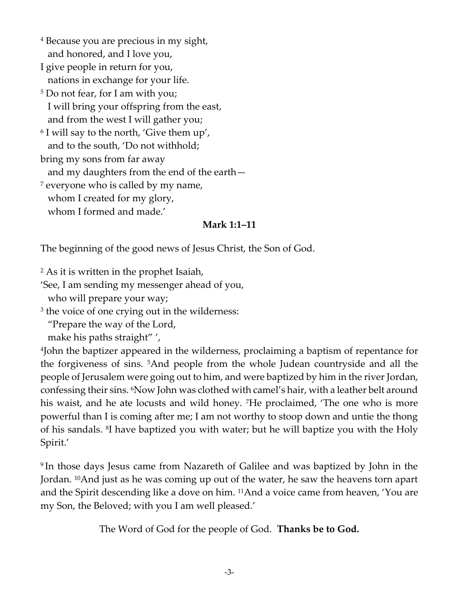- <sup>4</sup> Because you are precious in my sight, and honored, and I love you,
- I give people in return for you, nations in exchange for your life.
- <sup>5</sup> Do not fear, for I am with you; I will bring your offspring from the east, and from the west I will gather you;

6 I will say to the north, 'Give them up', and to the south, 'Do not withhold;

bring my sons from far away

and my daughters from the end of the earth—

<sup>7</sup> everyone who is called by my name, whom I created for my glory,

## whom I formed and made.'

## **Mark 1:1–11**

The beginning of the good news of Jesus Christ, the Son of God.

<sup>2</sup> As it is written in the prophet Isaiah,

'See, I am sending my messenger ahead of you,

who will prepare your way;

3 the voice of one crying out in the wilderness:

"Prepare the way of the Lord,

make his paths straight" ',

4 John the baptizer appeared in the wilderness, proclaiming a baptism of repentance for the forgiveness of sins. 5And people from the whole Judean countryside and all the people of Jerusalem were going out to him, and were baptized by him in the river Jordan, confessing their sins. 6Now John was clothed with camel's hair, with a leather belt around his waist, and he ate locusts and wild honey. 7He proclaimed, 'The one who is more powerful than I is coming after me; I am not worthy to stoop down and untie the thong of his sandals. <sup>8</sup> I have baptized you with water; but he will baptize you with the Holy Spirit.'

9 In those days Jesus came from Nazareth of Galilee and was baptized by John in the Jordan. 10And just as he was coming up out of the water, he saw the heavens torn apart and the Spirit descending like a dove on him. 11And a voice came from heaven, 'You are my Son, the Beloved; with you I am well pleased.'

The Word of God for the people of God. **Thanks be to God.**